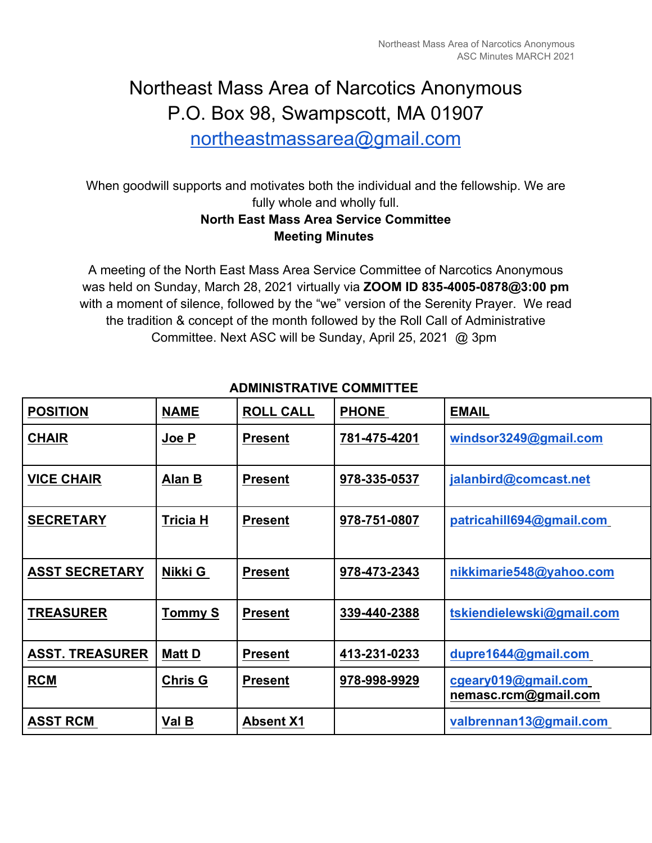# Northeast Mass Area of Narcotics Anonymous P.O. Box 98, Swampscott, MA 01907

northeastmassarea@gmail.com

When goodwill supports and motivates both the individual and the fellowship. We are fully whole and wholly full.

# **North East Mass Area Service Committee Meeting Minutes**

A meeting of the North East Mass Area Service Committee of Narcotics Anonymous was held on Sunday, March 28, 2021 virtually via **ZOOM ID 835-4005-0878@3:00 pm**  with a moment of silence, followed by the "we" version of the Serenity Prayer. We read the tradition & concept of the month followed by the Roll Call of Administrative Committee. Next ASC will be Sunday, April 25, 2021 @ 3pm

| <b>POSITION</b>        | <b>NAME</b>     | <b>ROLL CALL</b> | <b>PHONE</b> | <b>EMAIL</b>                                |
|------------------------|-----------------|------------------|--------------|---------------------------------------------|
| <b>CHAIR</b>           | Joe P           | <b>Present</b>   | 781-475-4201 | windsor3249@gmail.com                       |
| <b>VICE CHAIR</b>      | Alan B          | <b>Present</b>   | 978-335-0537 | jalanbird@comcast.net                       |
| <b>SECRETARY</b>       | <b>Tricia H</b> | <b>Present</b>   | 978-751-0807 | patricahill694@gmail.com                    |
| <b>ASST SECRETARY</b>  | Nikki G         | <b>Present</b>   | 978-473-2343 | nikkimarie548@yahoo.com                     |
| <b>TREASURER</b>       | <b>Tommy S</b>  | <b>Present</b>   | 339-440-2388 | tskiendielewski@gmail.com                   |
| <b>ASST. TREASURER</b> | <b>Matt D</b>   | <b>Present</b>   | 413-231-0233 | dupre1644@gmail.com                         |
| <b>RCM</b>             | <b>Chris G</b>  | <b>Present</b>   | 978-998-9929 | cgeary019@gmail.com<br>nemasc.rcm@gmail.com |
| <b>ASST RCM</b>        | Val B           | <b>Absent X1</b> |              | valbrennan13@gmail.com                      |

# **ADMINISTRATIVE COMMITTEE**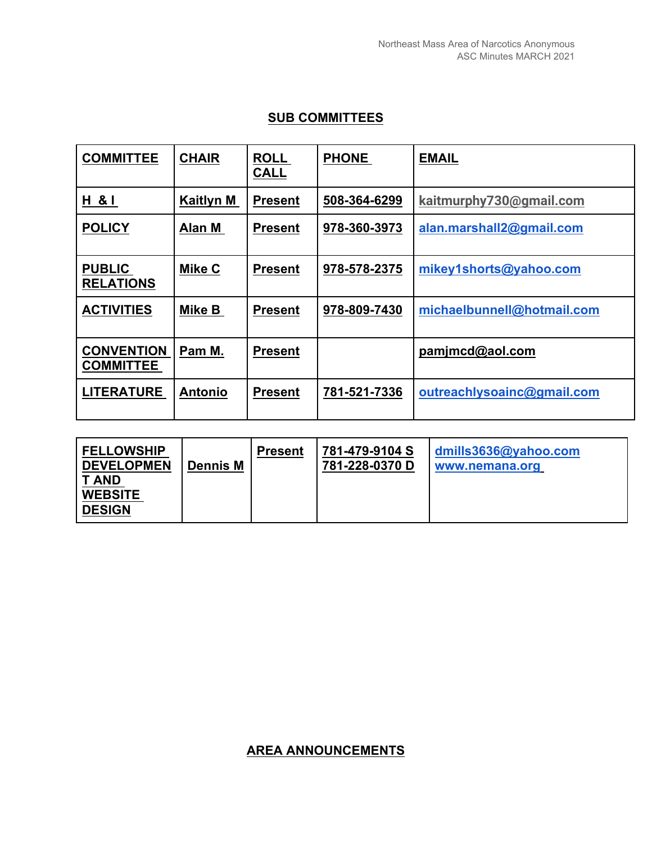## **SUB COMMITTEES**

| <b>COMMITTEE</b>                      | <b>CHAIR</b>     | <b>ROLL</b><br><b>CALL</b> | <b>PHONE</b> | <b>EMAIL</b>               |
|---------------------------------------|------------------|----------------------------|--------------|----------------------------|
| H & I                                 | <b>Kaitlyn M</b> | <b>Present</b>             | 508-364-6299 | kaitmurphy730@gmail.com    |
| <b>POLICY</b>                         | Alan M           | <b>Present</b>             | 978-360-3973 | alan.marshall2@gmail.com   |
| <b>PUBLIC</b><br><b>RELATIONS</b>     | Mike C           | <b>Present</b>             | 978-578-2375 | mikey1shorts@yahoo.com     |
| <b>ACTIVITIES</b>                     | Mike B           | <b>Present</b>             | 978-809-7430 | michaelbunnell@hotmail.com |
| <b>CONVENTION</b><br><b>COMMITTEE</b> | Pam M.           | <b>Present</b>             |              | pamjmcd@aol.com            |
| <b>LITERATURE</b>                     | <b>Antonio</b>   | <b>Present</b>             | 781-521-7336 | outreachlysoainc@gmail.com |

| <b>FELLOWSHIP</b><br><b>DEVELOPMEN</b><br><b>T AND</b><br><b>WEBSITE</b><br><b>DESIGN</b> | <b>Dennis M</b> | <b>Present</b> | 781-479-9104 S<br>781-228-0370 D | dmills3636@yahoo.com<br>www.nemana.org |  |  |  |
|-------------------------------------------------------------------------------------------|-----------------|----------------|----------------------------------|----------------------------------------|--|--|--|
|-------------------------------------------------------------------------------------------|-----------------|----------------|----------------------------------|----------------------------------------|--|--|--|

## **AREA ANNOUNCEMENTS**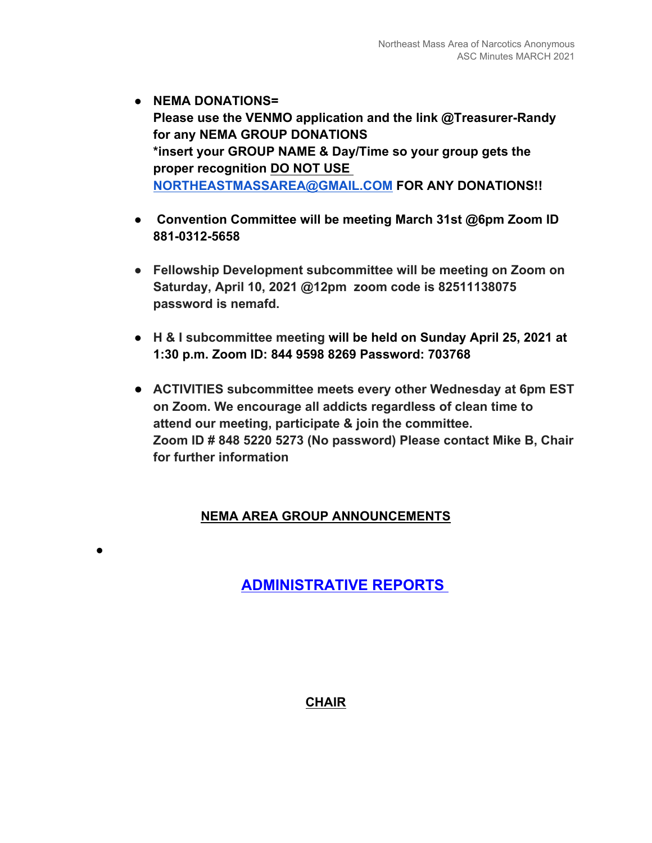- **NEMA DONATIONS= Please use the VENMO application and the link @Treasurer-Randy for any NEMA GROUP DONATIONS \*insert your GROUP NAME & Day/Time so your group gets the proper recognition DO NOT USE NORTHEASTMASSAREA@GMAIL.COM FOR ANY DONATIONS!!**
- ● **Convention Committee will be meeting March 31st @6pm Zoom ID 881-0312-5658**
- **Fellowship Development subcommittee will be meeting on Zoom on Saturday, April 10, 2021 @12pm zoom code is 82511138075 password is nemafd.**
- **H & I subcommittee meeting will be held on Sunday April 25, 2021 at 1:30 p.m. Zoom ID: 844 9598 8269 Password: 703768**
- **ACTIVITIES subcommittee meets every other Wednesday at 6pm EST on Zoom. We encourage all addicts regardless of clean time to attend our meeting, participate & join the committee. Zoom ID # 848 5220 5273 (No password) Please contact Mike B, Chair for further information**

# **NEMA AREA GROUP ANNOUNCEMENTS**

●

**ADMINISTRATIVE REPORTS** 

**CHAIR**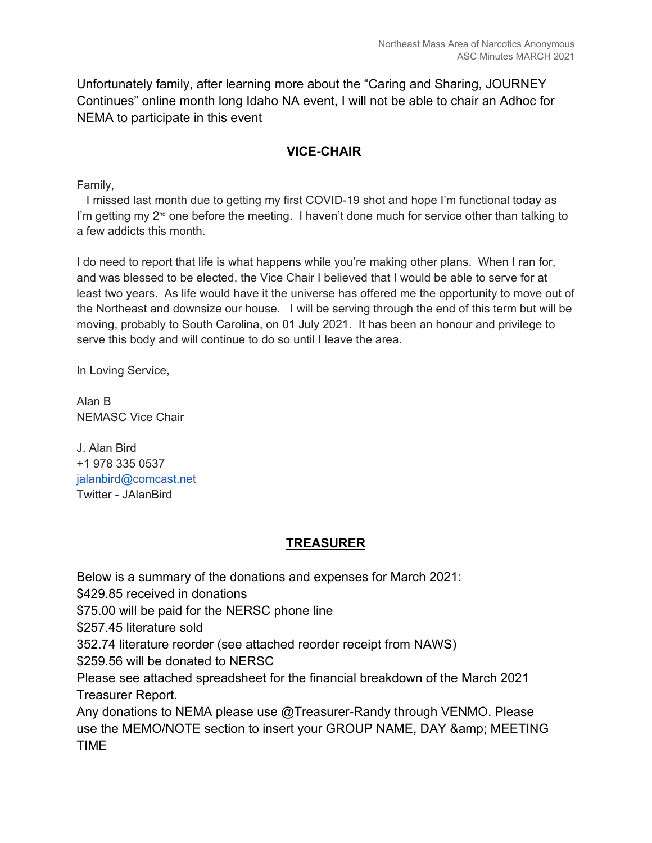Unfortunately family, after learning more about the "Caring and Sharing, JOURNEY Continues" online month long Idaho NA event, I will not be able to chair an Adhoc for NEMA to participate in this event

### **VICE-CHAIR**

Family,

 I missed last month due to getting my first COVID-19 shot and hope I'm functional today as I'm getting my  $2<sup>nd</sup>$  one before the meeting. I haven't done much for service other than talking to a few addicts this month.

I do need to report that life is what happens while you're making other plans. When I ran for, and was blessed to be elected, the Vice Chair I believed that I would be able to serve for at least two years. As life would have it the universe has offered me the opportunity to move out of the Northeast and downsize our house. I will be serving through the end of this term but will be moving, probably to South Carolina, on 01 July 2021. It has been an honour and privilege to serve this body and will continue to do so until I leave the area.

In Loving Service,

Alan B NEMASC Vice Chair

J. Alan Bird +1 978 335 0537 jalanbird@comcast.net Twitter - JAlanBird

#### **TREASURER**

Below is a summary of the donations and expenses for March 2021:

\$429.85 received in donations

\$75.00 will be paid for the NERSC phone line

\$257.45 literature sold

352.74 literature reorder (see attached reorder receipt from NAWS)

\$259.56 will be donated to NERSC

Please see attached spreadsheet for the financial breakdown of the March 2021 Treasurer Report.

Any donations to NEMA please use @Treasurer-Randy through VENMO. Please use the MEMO/NOTE section to insert your GROUP NAME, DAY & amp; MEETING TIME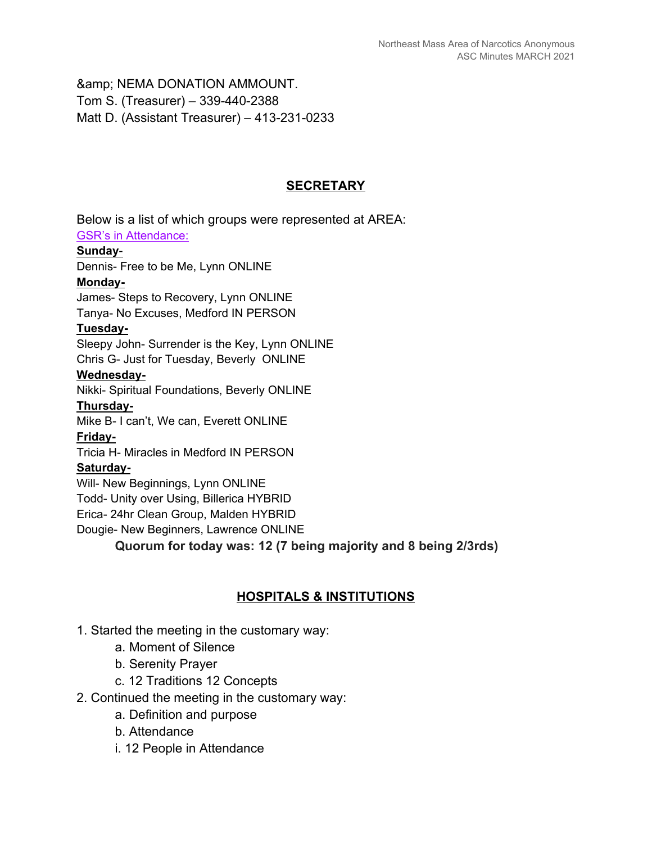& amp; NEMA DONATION AMMOUNT. Tom S. (Treasurer) – 339-440-2388 Matt D. (Assistant Treasurer) – 413-231-0233

#### **SECRETARY**

Below is a list of which groups were represented at AREA: GSR's in Attendance: **Sunday**- Dennis- Free to be Me, Lynn ONLINE **Monday-**James- Steps to Recovery, Lynn ONLINE Tanya- No Excuses, Medford IN PERSON **Tuesday-**Sleepy John- Surrender is the Key, Lynn ONLINE Chris G- Just for Tuesday, Beverly ONLINE **Wednesday-**Nikki- Spiritual Foundations, Beverly ONLINE **Thursday-**Mike B- I can't, We can, Everett ONLINE **Friday-**Tricia H- Miracles in Medford IN PERSON **Saturday-**Will- New Beginnings, Lynn ONLINE Todd- Unity over Using, Billerica HYBRID Erica- 24hr Clean Group, Malden HYBRID Dougie- New Beginners, Lawrence ONLINE **Quorum for today was: 12 (7 being majority and 8 being 2/3rds)** 

#### **HOSPITALS & INSTITUTIONS**

- 1. Started the meeting in the customary way:
	- a. Moment of Silence
	- b. Serenity Prayer
	- c. 12 Traditions 12 Concepts
- 2. Continued the meeting in the customary way:
	- a. Definition and purpose
	- b. Attendance
	- i. 12 People in Attendance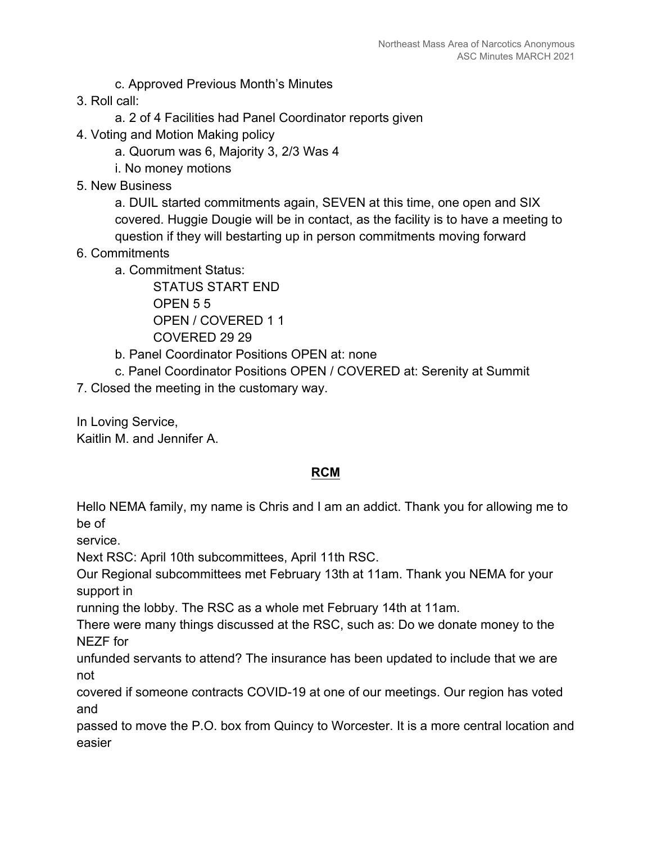- c. Approved Previous Month's Minutes
- 3. Roll call:
	- a. 2 of 4 Facilities had Panel Coordinator reports given
- 4. Voting and Motion Making policy
	- a. Quorum was 6, Majority 3, 2/3 Was 4
	- i. No money motions
- 5. New Business

a. DUIL started commitments again, SEVEN at this time, one open and SIX covered. Huggie Dougie will be in contact, as the facility is to have a meeting to question if they will bestarting up in person commitments moving forward

- 6. Commitments
	- a. Commitment Status:

STATUS START END OPEN 5 5 OPEN / COVERED 1 1 COVERED 29 29

- b. Panel Coordinator Positions OPEN at: none
- c. Panel Coordinator Positions OPEN / COVERED at: Serenity at Summit

7. Closed the meeting in the customary way.

In Loving Service, Kaitlin M. and Jennifer A.

#### **RCM**

Hello NEMA family, my name is Chris and I am an addict. Thank you for allowing me to be of

service.

Next RSC: April 10th subcommittees, April 11th RSC.

Our Regional subcommittees met February 13th at 11am. Thank you NEMA for your support in

running the lobby. The RSC as a whole met February 14th at 11am.

There were many things discussed at the RSC, such as: Do we donate money to the NEZF for

unfunded servants to attend? The insurance has been updated to include that we are not

covered if someone contracts COVID-19 at one of our meetings. Our region has voted and

passed to move the P.O. box from Quincy to Worcester. It is a more central location and easier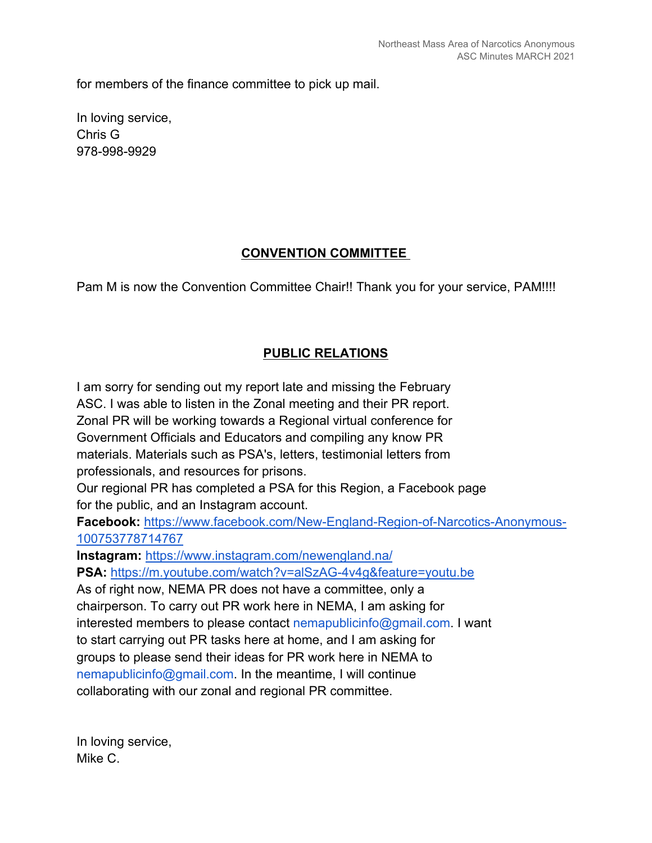for members of the finance committee to pick up mail.

In loving service, Chris G 978-998-9929

# **CONVENTION COMMITTEE**

Pam M is now the Convention Committee Chair!! Thank you for your service, PAM!!!!

# **PUBLIC RELATIONS**

I am sorry for sending out my report late and missing the February ASC. I was able to listen in the Zonal meeting and their PR report. Zonal PR will be working towards a Regional virtual conference for Government Officials and Educators and compiling any know PR materials. Materials such as PSA's, letters, testimonial letters from professionals, and resources for prisons. Our regional PR has completed a PSA for this Region, a Facebook page for the public, and an Instagram account. **Facebook:** https://www.facebook.com/New-England-Region-of-Narcotics-Anonymous-100753778714767 **Instagram:** https://www.instagram.com/newengland.na/ **PSA:** https://m.youtube.com/watch?v=alSzAG-4v4g&feature=youtu.be As of right now, NEMA PR does not have a committee, only a chairperson. To carry out PR work here in NEMA, I am asking for interested members to please contact nemapublicinfo@gmail.com. I want to start carrying out PR tasks here at home, and I am asking for groups to please send their ideas for PR work here in NEMA to nemapublicinfo@gmail.com. In the meantime, I will continue collaborating with our zonal and regional PR committee.

In loving service, Mike C.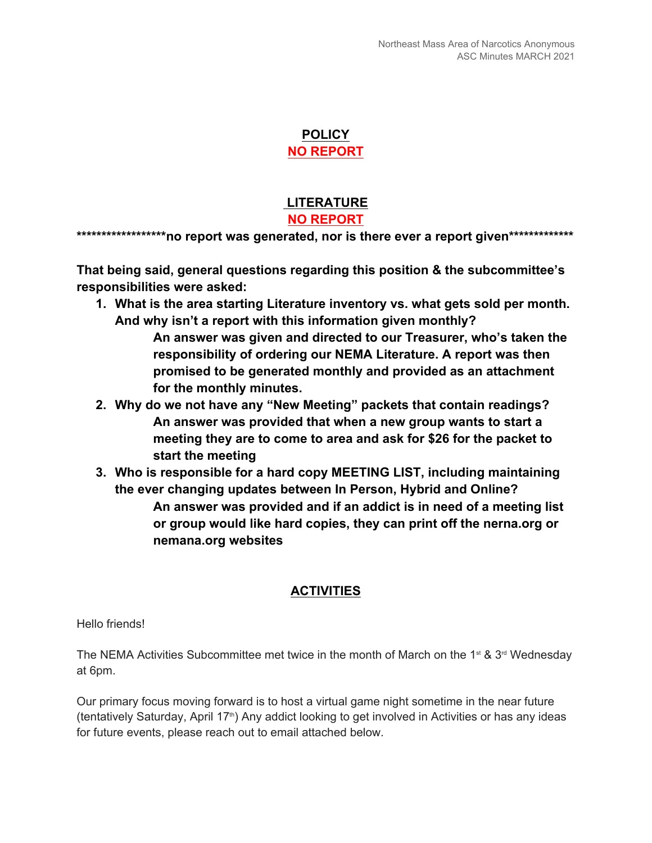#### **POLICY NO REPORT**

## **LITERATURE NO REPORT**

**\*\*\*\*\*\*\*\*\*\*\*\*\*\*\*\*\*\*no report was generated, nor is there ever a report given\*\*\*\*\*\*\*\*\*\*\*\*\***

**That being said, general questions regarding this position & the subcommittee's responsibilities were asked:**

**1. What is the area starting Literature inventory vs. what gets sold per month. And why isn't a report with this information given monthly?**

> **An answer was given and directed to our Treasurer, who's taken the responsibility of ordering our NEMA Literature. A report was then promised to be generated monthly and provided as an attachment for the monthly minutes.**

- **2. Why do we not have any "New Meeting" packets that contain readings? An answer was provided that when a new group wants to start a meeting they are to come to area and ask for \$26 for the packet to start the meeting**
- **3. Who is responsible for a hard copy MEETING LIST, including maintaining the ever changing updates between In Person, Hybrid and Online? An answer was provided and if an addict is in need of a meeting list or group would like hard copies, they can print off the nerna.org or nemana.org websites**

# **ACTIVITIES**

Hello friends!

The NEMA Activities Subcommittee met twice in the month of March on the 1<sup>st</sup> & 3<sup>rd</sup> Wednesday at 6pm.

Our primary focus moving forward is to host a virtual game night sometime in the near future (tentatively Saturday, April 17<sup>th</sup>) Any addict looking to get involved in Activities or has any ideas for future events, please reach out to email attached below.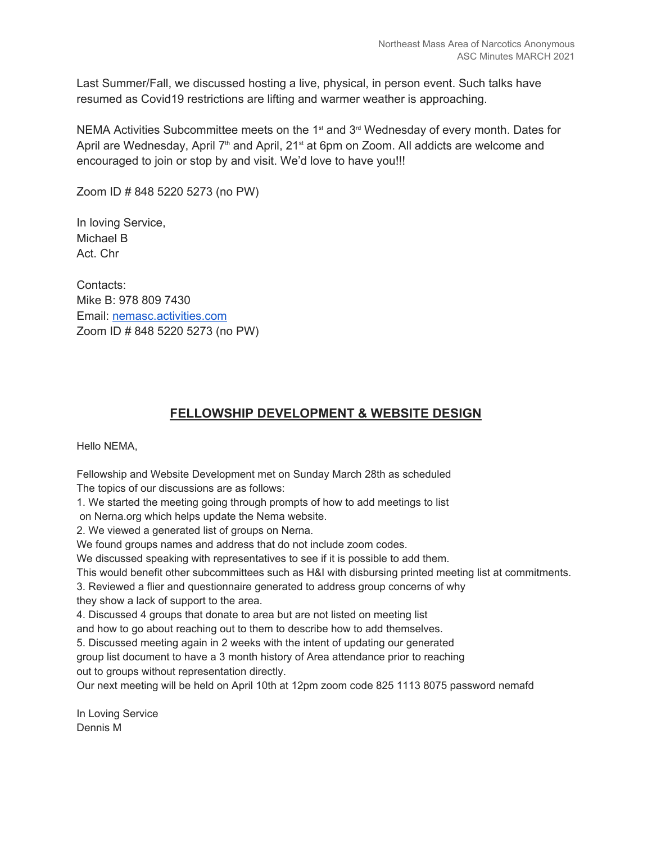Last Summer/Fall, we discussed hosting a live, physical, in person event. Such talks have resumed as Covid19 restrictions are lifting and warmer weather is approaching.

NEMA Activities Subcommittee meets on the 1<sup>st</sup> and  $3<sup>rd</sup>$  Wednesday of every month. Dates for April are Wednesday, April 7<sup>th</sup> and April, 21<sup>st</sup> at 6pm on Zoom. All addicts are welcome and encouraged to join or stop by and visit. We'd love to have you!!!

Zoom ID # 848 5220 5273 (no PW)

In loving Service, Michael B Act. Chr

Contacts: Mike B: 978 809 7430 Email: nemasc.activities.com Zoom ID # 848 5220 5273 (no PW)

#### **FELLOWSHIP DEVELOPMENT & WEBSITE DESIGN**

Hello NEMA,

Fellowship and Website Development met on Sunday March 28th as scheduled The topics of our discussions are as follows:

1. We started the meeting going through prompts of how to add meetings to list on Nerna.org which helps update the Nema website.

2. We viewed a generated list of groups on Nerna.

We found groups names and address that do not include zoom codes.

We discussed speaking with representatives to see if it is possible to add them.

This would benefit other subcommittees such as H&I with disbursing printed meeting list at commitments.

3. Reviewed a flier and questionnaire generated to address group concerns of why

they show a lack of support to the area.

4. Discussed 4 groups that donate to area but are not listed on meeting list

and how to go about reaching out to them to describe how to add themselves.

5. Discussed meeting again in 2 weeks with the intent of updating our generated

group list document to have a 3 month history of Area attendance prior to reaching out to groups without representation directly.

Our next meeting will be held on April 10th at 12pm zoom code 825 1113 8075 password nemafd

In Loving Service Dennis M